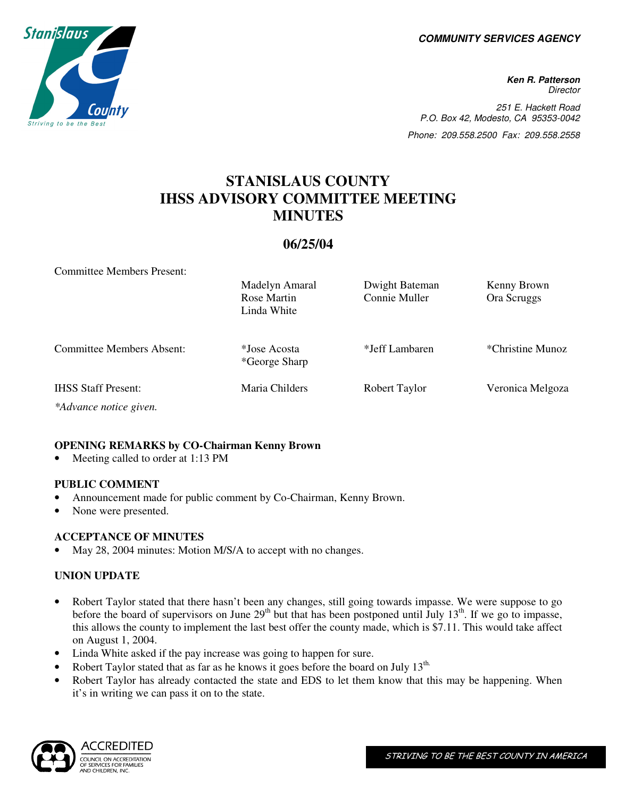**COMMUNITY SERVICES AGENCY** 



**Ken R. Patterson Director** 251 E. Hackett Road P.O. Box 42, Modesto, CA 95353-0042 Phone: 209.558.2500 Fax: 209.558.2558

# **STANISLAUS COUNTY IHSS ADVISORY COMMITTEE MEETING MINUTES**

## **06/25/04**

Committee Members Present:

|                                  | Madelyn Amaral<br>Rose Martin<br>Linda White | Dwight Bateman<br>Connie Muller | Kenny Brown<br>Ora Scruggs |
|----------------------------------|----------------------------------------------|---------------------------------|----------------------------|
| <b>Committee Members Absent:</b> | *Jose Acosta<br>*George Sharp                | *Jeff Lambaren                  | *Christine Munoz           |
| <b>IHSS Staff Present:</b>       | Maria Childers                               | Robert Taylor                   | Veronica Melgoza           |
|                                  |                                              |                                 |                            |

*\*Advance notice given.* 

### **OPENING REMARKS by CO-Chairman Kenny Brown**

Meeting called to order at 1:13 PM

#### **PUBLIC COMMENT**

- Announcement made for public comment by Co-Chairman, Kenny Brown.
- None were presented.

#### **ACCEPTANCE OF MINUTES**

May 28, 2004 minutes: Motion M/S/A to accept with no changes.

#### **UNION UPDATE**

- Robert Taylor stated that there hasn't been any changes, still going towards impasse. We were suppose to go before the board of supervisors on June  $29<sup>th</sup>$  but that has been postponed until July 13<sup>th</sup>. If we go to impasse, this allows the county to implement the last best offer the county made, which is \$7.11. This would take affect on August 1, 2004.
- Linda White asked if the pay increase was going to happen for sure.
- Robert Taylor stated that as far as he knows it goes before the board on July 13<sup>th.</sup>
- Robert Taylor has already contacted the state and EDS to let them know that this may be happening. When it's in writing we can pass it on to the state.